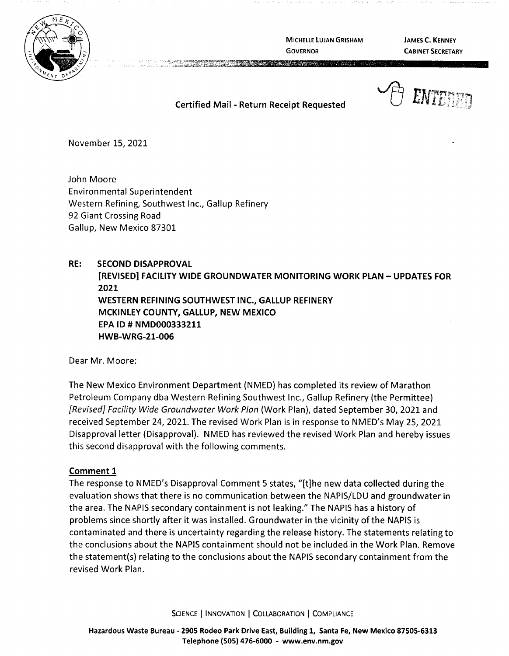

**MICHELLE LUJAN GRISHAM GOVERNOR** 

**JAMES C. KENNEY CABINET SECRETARY** 

**Certified Mail** - **Return Receipt Requested** 

November 15, 2021

John Moore Environmental Superintendent Western Refining, Southwest Inc., Gallup Refinery 92 Giant Crossing Road Gallup, New Mexico 87301

## **RE: SECOND DISAPPROVAL**

**[REVISED} FACILITY WIDE GROUNDWATER MONITORING WORK PLAN- UPDATES FOR 2021 WESTERN REFINING SOUTHWEST INC., GALLUP REFINERY MCKINLEY COUNTY, GALLUP, NEW MEXICO EPA** ID# **NMD000333211 HWB-WRG-21-006** 

Dear Mr. Moore:

The New Mexico Environment Department (NMED) has completed its review of Marathon Petroleum Company dba Western Refining Southwest Inc., Gallup Refinery (the Permittee) {Revised] Facility Wide Groundwater Work Plan (Work Plan), dated September 30, 2021 and received September 24, 2021. The revised Work Plan is in response to NMED's May 25, 2021 Disapproval letter (Disapproval). NMED has reviewed the revised Work Plan and hereby issues this second disapproval with the following comments.

## **Comment 1**

The response to NMED's Disapproval Comment 5 states, "[t]he new data collected during the evaluation shows that there is no communication between the NAPIS/LDU and groundwater in the area. The NAPIS secondary containment is not leaking." The NAPIS has a history of problems since shortly after it was installed. Groundwater in the vicinity of the NAPIS is contaminated and there is uncertainty regarding the release history. The statements relating to the conclusions about the NAPIS containment should not be included in the Work Plan. Remove the statement(s) relating to the conclusions about the NAPIS secondary containment from the revised Work Plan.

SCIENCE | INNOVATION | COLLABORATION | COMPLIANCE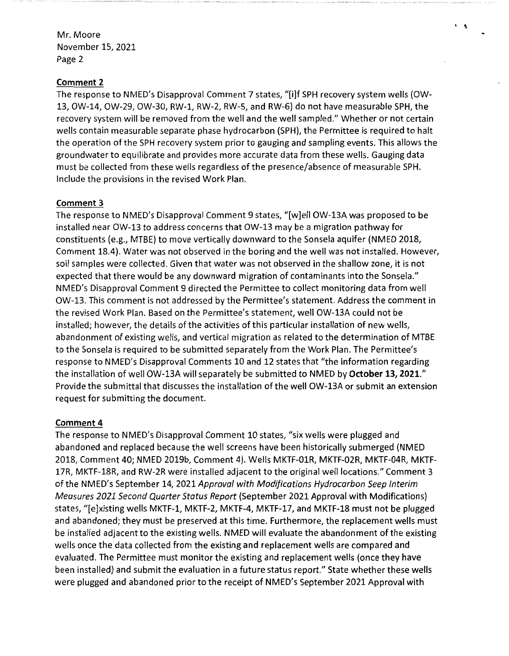## **Comment 2**

The response to NMED's Disapproval Comment 7 states, "[i]f SPH recovery system wells (OW-13, OW-14, OW-29, OW-30, RW-1, RW-2, RW-5, and RW-6) do not have measurable SPH, the recovery system will be removed from the well and the well sampled." Whether or not certain wells contain measurable separate phase hydrocarbon (SPH), the Permittee is required to halt the operation of the SPH recovery system prior to gauging and sampling events. This allows the groundwater to equilibrate and provides more accurate data from these wells. Gauging data must be collected from these wells regardless of the presence/absence of measurable SPH. Include the provisions in the revised Work Plan.

## **Comment 3**

The response to NMED's Disapproval Comment 9 states, "[w]ell OW-13A was proposed to be installed near OW-13 to address concerns that OW-13 may be a migration pathway for constituents (e.g., MTBE) to move vertically downward to the Sonsela aquifer (NMED 2018, Comment 18.4). Water was not observed in the boring and the well was not installed. However, soil samples were collected. Given that water was not observed in the shallow zone, it is not expected that there would be any downward migration of contaminants into the Sonsela." NMED's Disapproval Comment 9 directed the Permittee to collect monitoring data from well OW-13. This comment is not addressed by the Permittee's statement. Address the comment in the revised Work Plan. Based on the Permittee's statement, well OW-13A could not be installed; however, the details of the activities of this particular installation of new wells, abandonment of existing wells, and vertical migration as related to the determination of MTBE to the Sonsela is required to be submitted separately from the Work Plan. The Permittee's response to NMED's Disapproval Comments 10 and 12 states that "the information regarding the installation of well OW-13A will separately be submitted to NMED by **October 13, 2021."**  Provide the submittal that discusses the installation of the well OW-13A or submit an extension request for submitting the document.

## **Comment 4**

The response to NMED's Disapproval Comment 10 states, "six wells were plugged and abandoned and replaced because the well screens have been historically submerged (NMED 2018, Comment 40; NMED 2019b, Comment 4). Wells MKTF-01R, MKTF-02R, MKTF-04R, MKTF-17R, MKTF-18R, and RW-2R were installed adjacent to the original well locations." Comment 3 of the NMED's September 14, 2021 Approval with Modifications Hydrocarbon Seep Interim Measures 2021 Second Quarter Status Report (September 2021 Approval with Modifications) states, "[e]xisting wells MKTF-1, MKTF-2, MKTF-4, MKTF-17, and MKTF-18 must not be plugged and abandoned; they must be preserved at this time. Furthermore, the replacement wells must be installed adjacent to the existing wells. NMED will evaluate the abandonment of the existing wells once the data collected from the existing and replacement wells are compared and evaluated. The Permittee must monitor the existing and replacement wells (once they have been installed) and submit the evaluation in a future status report." State whether these wells were plugged and abandoned prior to the receipt of NMED's September 2021 Approval with

' *!\,*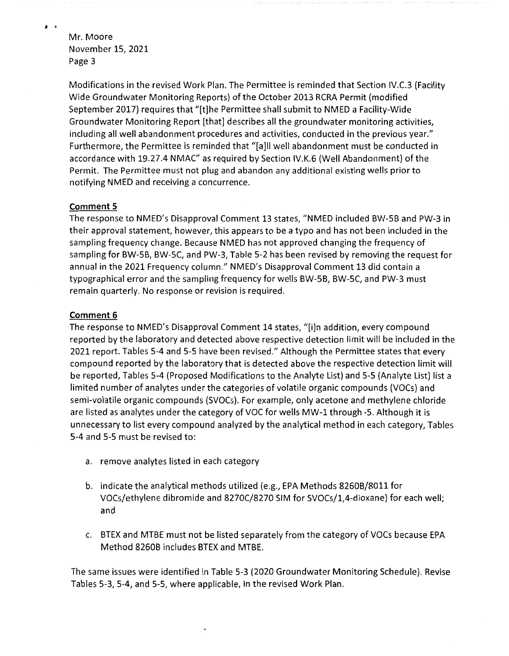**j** •

Modifications in the revised Work Plan. The Permittee is reminded that Section IV.C.3 (Facility Wide Groundwater Monitoring Reports) of the October 2013 RCRA Permit (modified September 2017) requires that "[t]he Permittee shall submit to NMED a Facility-Wide Groundwater Monitoring Report [that] describes all the groundwater monitoring activities, including all well abandonment procedures and activities, conducted in the previous year." Furthermore, the Permittee is reminded that "[a]II well abandonment must be conducted in accordance with 19.27.4 NMAC" as required by Section IV.K.6 (Well Abandonment) of the Permit. The Permittee must not plug and abandon any additional existing wells prior to notifying NMED and receiving a concurrence.

## **Comment 5**

The response to NMED's Disapproval Comment 13 states, "NMED included BW-5B and PW-3 in their approval statement, however, this appears to be a typo and has not been included in the sampling frequency change. Because NMED has not approved changing the frequency of sampling for BW-5B, BW-5C, and PW-3, Table 5-2 has been revised by removing the request for annual in the 2021 Frequency column." NMED's Disapproval Comment 13 did contain a typographical error and the sampling frequency for wells BW-5B, BW-5C, and PW-3 must remain quarterly. No response or revision is required.

### **Comment 6**

The response to NMED's Disapproval Comment 14 states, "[i]n addition, every compound reported by the laboratory and detected above respective detection limit will be included in the 2021 report. Tables 5-4 and 5-5 have been revised." Although the Permittee states that every compound reported by the laboratory that is detected above the respective detection limit will be reported, Tables 5-4 (Proposed Modifications to the Analyte List) and 5-5 (Analyte List) list a limited number of analytes under the categories of volatile organic compounds (VOCs) and semi-volatile organic compounds (SVOCs). For example, only acetone and methylene chloride are listed as analytes under the category of VOC for wells MW-1 through -5. Although it is unnecessary to list every compound analyzed by the analytical method in each category, Tables 5-4 and 5-5 must be revised to:

- a. remove analytes listed in each category
- b. indicate the analytical methods utilized (e.g., EPA Methods 82608/8011 for voes/ethylene dibromide and 8270C/8270 SIM for SVOCs/1,4-dioxane) for each well; and
- c. BTEX and MTBE must not be listed separately from the category of VOCs because EPA Method 8260B includes BTEX and MTBE.

The same issues were identified in Table 5-3 (2020 Groundwater Monitoring Schedule). Revise Tables 5-3, 5-4, and 5-5, where applicable, in the revised Work Plan.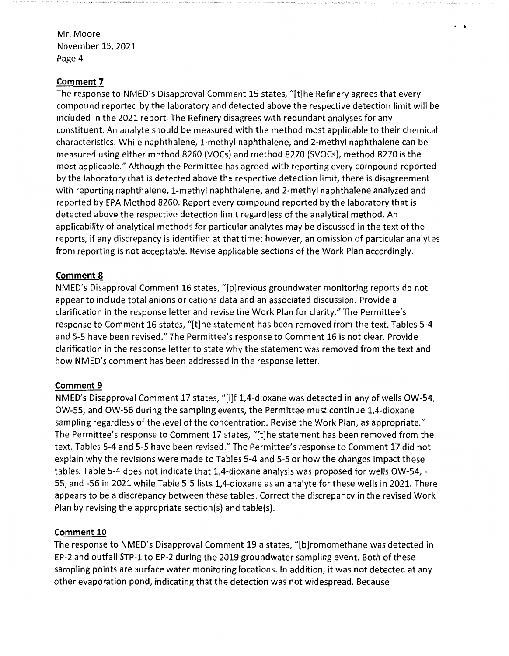## **Comment 7**

The response to NMED's Disapproval Comment 15 states, "[t]he Refinery agrees that every compound reported by the laboratory and detected above the respective detection limit will be included in the 2021 report. The Refinery disagrees with redundant analyses for any constituent. An analyte should be measured with the method most applicable to their chemical characteristics. While naphthalene, 1-methyl naphthalene, and 2-methyl naphthalene can be measured using either method 8260 {VOCs) and method 8270 {SVOCs), method 8270 is the most applicable." Although the Permittee has agreed with reporting every compound reported by the laboratory that is detected above the respective detection limit, there is disagreement with reporting naphthalene, 1-methyl naphthalene, and 2-methyl naphthalene analyzed and reported by EPA Method 8260. Report every compound reported by the laboratory that is detected above the respective detection limit regardless of the analytical method. An applicability of analytical methods for particular analytes may be discussed in the text of the reports, if any discrepancy is identified at that time; however, an omission of particular analytes from reporting is not acceptable. Revise applicable sections of the Work Plan accordingly.

 $\cdot$   $\cdot$ 

# **Comment 8**

NMED's Disapproval Comment 16 states, "[p]revious groundwater monitoring reports do not appear to include total anions or cations data and an associated discussion. Provide a clarification in the response letter and revise the Work Plan for clarity." The Permittee's response to Comment 16 states, "[t]he statement has been removed from the text. Tables 5-4 and 5-5 have been revised." The Permittee's response to Comment 16 is not clear. Provide clarification in the response letter to state why the statement was removed from the text and how NMED's comment has been addressed in the response letter.

## **Comment 9**

NMED's Disapproval Comment 17 states, "[i]f 1,4-dioxane was detected in any of wells OW-54, OW-55, and OW-56 during the sampling events, the Permittee must continue 1,4-dioxane sampling regardless of the level of the concentration. Revise the Work Plan, as appropriate." The Permittee's response to Comment 17 states, "[t]he statement has been removed from the text. Tables 5-4 and 5-5 have been revised." The Permittee's response to Comment 17 did not explain why the revisions were made to Tables 5-4 and 5-5 or how the changes impact these tables. Table 5-4 does not indicate that 1,4-dioxane analysis was proposed for wells OW-54, - 55, and -56 in 2021 while Table 5-5 lists 1,4-dioxane as an analyte for these wells in 2021. There appears to be a discrepancy between these tables. Correct the discrepancy in the revised Work Plan by revising the appropriate section(s) and table(s).

# **Comment 10**

The response to NMED's Disapproval Comment 19 a states, "[b]romomethane was detected in EP-2 and outfall STP-1 to EP-2 during the 2019 groundwater sampling event. Both of these sampling points are surface water monitoring locations. In addition, it was not detected at any other evaporation pond, indicating that the detection was not widespread. Because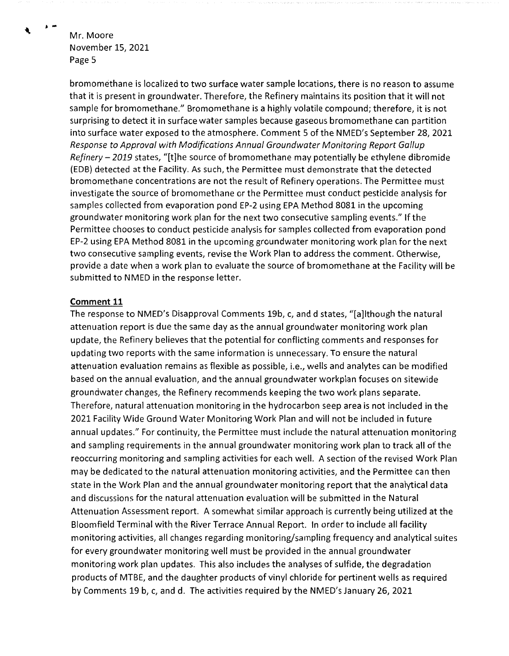bromomethane is localized to two surface water sample locations, there is no reason to assume that it is present in groundwater. Therefore, the Refinery maintains its position that it will not sample for bromomethane." Bromomethane is a highly volatile compound; therefore, it is not surprising to detect it in surface water samples because gaseous bromomethane can partition into surface water exposed to the atmosphere. Comment 5 of the NMED's September 28, 2021 Response to Approval with Modifications Annual Groundwater Monitoring Report Gallup Refinery  $-$  2019 states, "[t]he source of bromomethane may potentially be ethylene dibromide (EDB} detected at the Facility. As such, the Permittee must demonstrate that the detected bromomethane concentrations are not the result of Refinery operations. The Permittee must investigate the source of bromomethane or the Permittee must conduct pesticide analysis for samples collected from evaporation pond EP-2 using EPA Method 8081 in the upcoming groundwater monitoring work plan for the next two consecutive sampling events." If the Permittee chooses to conduct pesticide analysis for samples collected from evaporation pond EP-2 using EPA Method 8081 in the upcoming groundwater monitoring work plan for the next two consecutive sampling events, revise the Work Plan to address the comment. Otherwise, provide a date when a work plan to evaluate the source of bromomethane at the Facility will be submitted to NMED in the response letter.

### **Comment 11**

The response to NMED's Disapproval Comments 19b, c, and d states, "[a]lthough the natural attenuation report is due the same day as the annual groundwater monitoring work plan update, the Refinery believes that the potential for conflicting comments and responses for updating two reports with the same information is unnecessary. To ensure the natural attenuation evaluation remains as flexible as possible, i.e., wells and analytes can be modified based on the annual evaluation, and the annual groundwater workplan focuses on sitewide groundwater changes, the Refinery recommends keeping the two work plans separate. Therefore, natural attenuation monitoring in the hydrocarbon seep area is not included in the 2021 Facility Wide Ground Water Monitoring Work Plan and will not be included in future annual updates." For continuity, the Permittee must include the natural attenuation monitoring and sampling requirements in the annual groundwater monitoring work plan to track all of the reoccurring monitoring and sampling activities for each well. A section of the revised Work Plan may be dedicated to the natural attenuation monitoring activities, and the Permittee can then state in the Work Plan and the annual groundwater monitoring report that the analytical data and discussions for the natural attenuation evaluation will be submitted in the Natural Attenuation Assessment report. A somewhat similar approach is currently being utilized at the Bloomfield Terminal with the River Terrace Annual Report. In order to include all facility monitoring activities, all changes regarding monitoring/sampling frequency and analytical suites for every groundwater monitoring well must be provided in the annual groundwater monitoring work plan updates. This also includes the analyses of sulfide, the degradation products of MTBE, and the daughter products of vinyl chloride for pertinent wells as required by Comments 19 b, c, and d. The activities required by the NMED's January 26, 2021

€

...